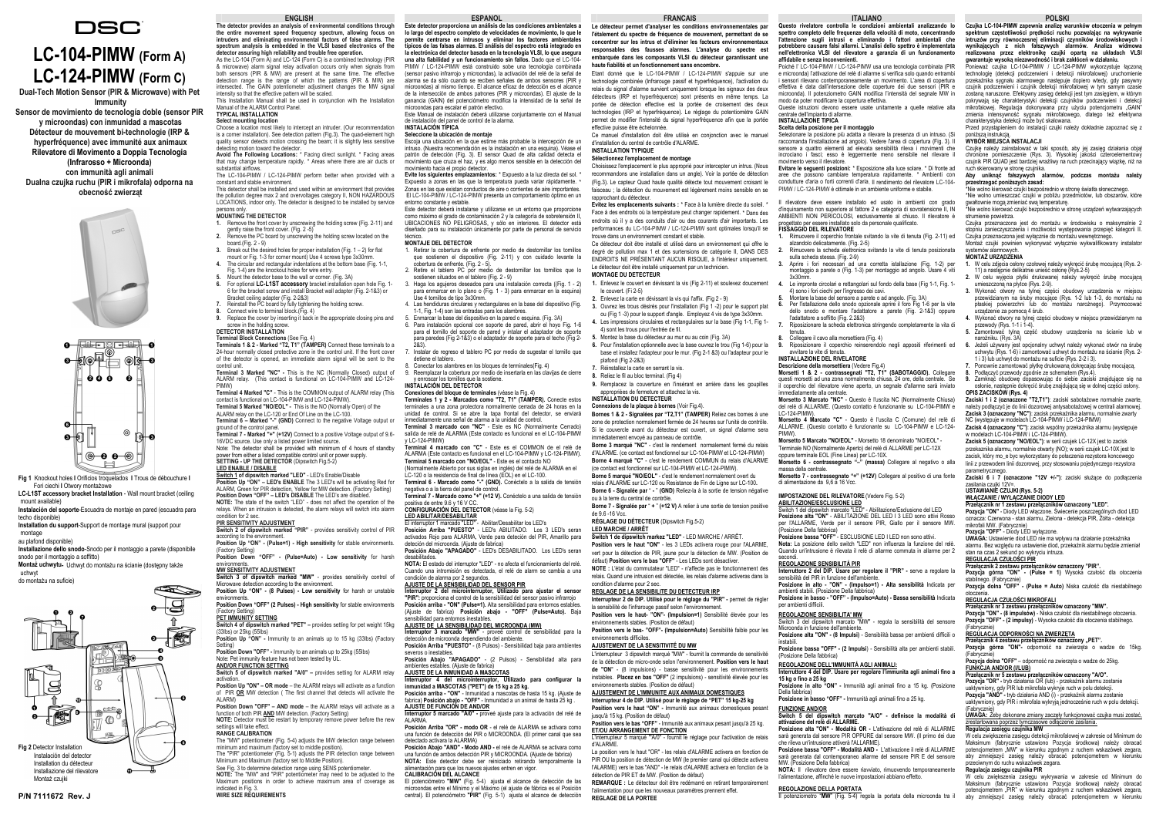## **POLSKI**

 **Czujka LC-104-PIMW zapewnia analizę warunków otoczenia w pełnym spektrum częstotliwości prędkości ruchu pozwalając na wykrywanie intruzów przy równoczesnej eliminacji czynników środowiskowych i wynikających z nich fałszywych alarmów. Analiza widmowa**  realizowana przez elektronikę czujki opartą na układach VLSI<br>gwarantujewysokąniezawodnośćibrakzakłóceńwdziałaniu. Ponieważ czujka LC-104-PIMW / LC-124-PIMW wykorzystuje łączoną technologię (detekcji podczerwieni i detekcji mikrofalowej) uruchomienie przekaźnika sygnału alarmowego następuje dopiero wtedy, gdy pasywny czujnik podczerwieni i czujnik detekcji mikrofalowej w tym samym czasie zostaną naruszone. Efektywny zasięg detekcji jest tym zasięgiem, w którym pokrywają się charakterystyki detekcji czujników podczerwieni i detekcji mikrofalowej. Regulacja dokonywana przy użyciu potencjometru "GAIN" zmienia intensywność sygnału mikrofalowego, dlatego też efektywna charakterystyka detekcji może być skalowana.

Przed przystąpieniem do instalacji czujki należy dokładnie zapoznać się z poniższą instrukcją.<br>WYBÓR MIEJSCA INSTALAC II

 Czujkę należy zainstalować w taki sposób, aby jej zasięg działania objął chronione pomieszczenie (Rys. 3). Wysokiej jakości czteroelementowy czujnik PIR QUAD jest bardziej wrażliwy na ruch przecinający wiązkę, niż na ruch skierowany w stronę czujnika.

## **Aby uniknąć fałszywych alarmów, podczas montażu należy przestrzegać poniższych zasad:**

\*Nie wolno kierować czujki bezpośrednio w stronę światła słonecznego. \*Nie wolno umieszczać czujki w pobliżu przedmiotów, lub obszarów, które

gwałtownie mogą zmieniać swą temperaturę. \*Nie wolno kierować czujki bezpośrednio w stronę urządzeń wytwarzających strumienie powietrza.

osłonie, następnie dokręcić śrubę znajdującą się w dolnej części osłony.<br>**OPIS ZACISKÓW (Rys. 4)**<br>Zaci**ski 1 i 2 (oznaczone "T2,T1"**): zaciski sabotażowe normalnie zwarte,<br>należy podłączyć je do linii dozorowej antysabotaż **Zacisk 3 (oznaczony "NC")**: zacisk przekaźnika alarmu, normalnie zwarty NC (występuje w modelach LC-104-PIMW i LC-124-PIMW)

Czujka przeznaczona jest do montażu w środowisku o maksymalnie 2 stopniu zanieczyszczenia i możliwości występowania przepięć kategorii II. Czujka przeznaczona jest wyłącznie do montażu wewnętrznego. Montaż czujki powinien wykonywać wyłącznie wykwalifikowany instalator

systemów alarmowych. **MONTAŻ URZĄDZENIA** 

**1.** W celu zdjęcia osłony czołowej należy wykręcić śrubę mocującą (Rys. 2- 11) a następnie delikatnie unieść osłonę (Rys.2-5)

- **2.** W celu wyjęcia płytki drukowanej należy wykręcić śrubę mocującą umieszczoną na płytce (Rys. 2-9).
- **3.** Wykonać otwory na tylnej części obudowy urządzenia w miejscu przewidzianym na śruby mocujące (Rys. 1-2 lub 1-3, do montażu na płaskiej powierzchni lub do montażu narożnego). Przymocować urządzenie za pomocą 4 śrub.
- **4.** Wykonać otwory na tylnej części obudowy w miejscu przewidzianym na przewody (Rys. 1-1 i 1-4).
- **5.** Zamontować tylną część obudowy urządzenia na ścianie lub w narożniku. (Rys. 3A)
- **6.** Jeżeli używany jest opcjonalny uchwyt należy wykonać otwór na śrubę uchwytu (Rys. 1-6) i zamontować uchwyt do montażu na ścianie (Rys. 2- 1 i 3) lub uchwyt do montażu na suficie (Rys. 2-2 i 3).
- **7.** Ponownie zamontować płytkę drukowaną dokręcając śrubę mocującą. **8.**
- Podłączyć przewody zgodnie ze schematem (Rys.4). **9.**Zamknąć obudowę dopasowując do siebie zaciski znajdujące się na

**Zacisk 4 (oznaczony "C")**: zacisk wspólny przekaźnika alarmu (występuje w modelach LC-104-PIMW i LC-124-PIMW).

**Zacisk 5 (oznaczony "NO/EOL")**: w serii czujek LC-12X jest to zacisk przekaznika alarmu, normalnie otwarty (NO); w serii czujek LC-10X jest to zacisk, który mo\_e byc wykorzystany do połaczenia rezystora koncowego linii z przewodem linii dozorowej, przy stosowaniu pojedynczego rezystora

parametrycznego. **Zaciski 6 i 7 (oznaczone "12V +/-")**: zaciski służące do podłączenia zasilania czujki 12V=.

### **USTAWIANIE CZUJKI (Rys. 5-2)**

**WŁĄCZANIE / WYŁĄCZANIE DIODY LED Przełącznik nr 1 zestawu przełączników oznaczony "LED".**

rilevatore deve essere installato ed usato in ambienti con grado d'inquinamento non superiore al fattore 2 e categoria di sovratensione II, IN AMBIENTI NON PERICOLOSI, esclusivamente al chiuso. Il rilevatore è progettato per essere installato solo da personale qualificato.

> **Pozycja "ON"** - Diody LED włączone. Świecenie poszczególnych diod LED oznacza: Czerwona - stan alarmu, Zielona - detekcja PIR, Żółta - detekcja mikrofali MW. (Fabrycznie)

 Aprire i fori necessari ad una corretta istallazione (Fig. 1-2) per montaggio a parete o (Fig. 1-3) per montaggio ad angolo. Usare 4 viti

**Pozycja "OFF"** - Diody LED wyłączone.

**UWAGA:** Ustawienie diod LED nie ma wpływu na działanie przekaźnika alarmu. Bez względu na ustawienie diod, przekaźnik alarmu będzie zmieniał

# stan na czas 2 sekund po wykryciu intruza. **REGULACJA CZUŁOŚCI PIR**

<u>...</u><br>Naczników oznaczony "PIR"

**Przełącznik 2 zestawu przełączników oznaczony "PIR". Pozycja górna "ON" - (Pulse = 1)** Wysoka czułość dla otoczenia stabilnego. (Fabrycznie) **Pozycja dolna "OFF" - (Pulse = Auto)** Niska czułość dla niestabilnego

otoczenia. **REGULACJA CZUŁOŚCI MIKROFALI**

**Przełącznik nr 3 zestawu przełączników oznaczony "MW". Pozycja "ON" - (8 impulsów)** - Niska czułość dla niestabilnego otoczenia. **Pozycja "OFF" - (2 impulsy)** - Wysoka czułość dla otoczenia stabilnego.

# (Fabrycznie) **REGULACJA ODPORNOŚCI NA ZWIERZĘTA**

**Przełącznik 4 zestawu przełączników oznaczony "PET".** 

**Pozycja górna "ON"-** odporność na zwierzęta o wadze do 15kg. (Fabrycznie)

## **Pozycja dolna "OFF"** – odporność na zwierzęta o wadze do 25kg. **FUNKCJA AND/OR (I/LUB)**

**Przełącznik nr 5 zestawu przełączników oznaczony "A/O". Pozycja "OR" -** tryb działania OR (lub) - przekaźnik alarmu zostanie

uaktywniony, gdy PIR lub mikrofala wykryje ruch w polu detekcji. **Pozycja "AND" -** tryb działania AND (i) - przekaźnik alarmu zostanie

uaktywniony, gdy PIR i mikrofala wykryją jednocześnie ruch w polu detekcji. (Fabrycznie)

# **UWAGA:** Żeby dokonane zmiany zaczęły funkcjonować czujka musi zostać, zrestartowana poprzez tymczasowe odłączenie zasilania.

# **Regulacja zasięgu czujnika MW**

W celu zwiększenia zasięgu detekcji mikrofalowej w zakresie od Minimum do Maksimum (fabrycznie ustawiono Pozycia środkowa) należy obracać potencjometrem "MW" w kierunku zgodnym z ruchem wskazówek zegara, aby zmniejszyć zasięg należy obracać potencjometrem w kierunku przeciwnym do ruchu wskazówek zegara.

# **Regulacja zasięgu czujnika PIR**

**NOTA:** Il rilevatore deve essere riavviato, rimuovendo temporaneamente nentazione, affinché le nuove impostazioni abbiano effetto.

W celu zwiększenia zasięgu wykrywania w zakresie od Minimum do Maksimum (fabrycznie ustawiono Pozycja środkowa) należy obracać potencjometrem "PIR" w kierunku zgodnym z ruchem wskazówek zegara, aby zmniejszyć zasięg należy obracać potencjometrem w kierunku

# **ITALIANO**

affidabile e senza inconveni

 **Questo rivelatore controlla le condizioni ambientali analizzando lo**  spettro completo delle frequenze della velocità di moto, concentr **l'attenzione sugli intrusi e eliminando i fattori ambientali che potrebbero causare falsi allarmi. L'analisi dello spettro è implementata nell'elettronica VLSI del rilevatore a garanzia di un funzionamento** 

Choisissez l'emplacement le plus approprié pour intercepter un intrus. (Nous recommandons une installation dans un angle). Voir la portée de détection (Fig.3). Le capteur Quad haute qualité détecte tout mouvement croisant le faisceau ; la détection du mouvement est légèrement moins sensible en se

 Poiché l' LC-104-PIMW / LC-124-PIMW usa una tecnologia combinata (PIR e microonda) l'attivazione del relè di allarme si verifica solo quando entrambi i sensori rilevano contemporaneamente un movimento. L'area di copertura effettiva è data dall'intersezione delle coperture dei due sensori (PIR e microonda). Il potenziometro GAIN modifica l'intensità del segnale MW in modo da poter modificare la copertura effettiva.

Queste istruzioni devono essere usate unitamente a quelle relative alla

centrale dell'impianto di allarme. **INSTALLAZIONE TIPICA** 

 **Scelta della posizione per il montaggio** Selezionare la posizione più adatta a rilevare la presenza di un intruso. (Si raccomanda l'installazione ad angolo). Vedere l'area di copertura (Fig. 3). Il sensore a quattro elementi ad elevata sensibilità rileva i movimenti che incrociano i fasci; esso è leggermente meno sensibile nel rilevare il

movimento verso il rilevatore.

**Bornes 1 & 2 - Signalées par "T2,T1" (TAMPER)** Reliez ces bornes à une zone de protection normalement fermée de 24 heures sur l'unité de contrôle. Si le couvercle avant du détecteur est ouvert, un signal d'alarme sera

 **Evitare le seguenti posizioni:** \* Esposizione alla luce solare. \* Di fronte ad aree che possono cambiare temperatura rapidamente. \* Ambienti con condutture d'aria o forti correnti d'aria. Il rendimento del rilevatore LC-104-PIMW / LC-124-PIMW è ottimale in un ambiente uniforme e stabile.

**FISSAGGIO DEL RILEVATORE** 

**1.**

Rimuovere il coperchio frontale svitando la vite di tenuta (Fig. 2-11) ed alzandolo delicatamente. (Fig. 2-5)

**2.** Rimuovere la scheda elettronica svitando la vite di tenuta posizionata sulla scheda stessa. (Fig. 2-9)

**3.**

**4.**

Le impronte circolari e rettangolari sul fondo della base (Fig 1-1, Fig. 1-

4) sono i fori ciechi per l'ingresso dei cavi. Montare la base del sensore a parete o ad angolo. (Fig. 3A)

**5.6.**

Per l'istallazione dello snodo opzionale aprire il foro Fig 1-6 per la vite dello snodo e montare l'adattatore a parete (Fig. 2-1&3) oppure

l'adattatore a soffitto (Fig. 2.2&3)

**7.**

Riposizionare la scheda elettronica stringendo completamente la vita di

tenuta.

**8.9.**  $3x30m$ 

 Collegare il cavo alla morsettiera (Fig. 4) Riposizionare il coperchio reinserendolo negli appositi riferimenti ed

avvitare la vite di tenuta. **INSTALLAZIONE DEL RIVELATORE** 

 **Descrizione della morsettiera** (Vedere Fig.4) **Morsetti 1 & 2 - contrassegnati "T2, T1" (SABOTAGGIO).** Collegare questi morsetti ad una zona normalmente chiusa, 24 ore, della centrale. Se il coperchio del rilevatore viene aperto, un segnale d'allarme sarà inviato

immediatamente alla centrale.

 **Morsetto 3 Marcato "NC"** - Questo è l'uscita NC (Normalmente Chiusa) del relè di ALLARME. (Questo contatto è funzionante su LC-104-PIMW e

LC-124-PIMW).

Este Manual de instalación deberá utilizarse conjuntamente con el Manual de instalación del panel de control de la alarma.

> **Morsetto 4 Marcato "C"** - Questo è l'uscita C (Comune) del relè di ALLARME. (Questo contatto è funzionante su LC-104-PIMW e LC-124-

**INSTALACIÓN TÍPICA Seleccione la ubicación de montaje**

PIMW).

**Morsetto 5 Marcato "NO/EOL"** - Morsetto 18 denominato "NO/EOL" - Terminale NO (Normalmente Aperto) del relè di ALLARME per LC-12X

oppure terminale EOL (Fine Linea) per LC-10X. **Morsetto 6 - contrassegnato "–" (massa)** Collegare al negativo o alla

massa della centrale.

**Morsetto 7 - contrassegnato "+" (+12V)** Collegare al positivo di una fonte

di alimentazione da 9,6 a 16 Vcc.

**IMPOSTAZIONE DEL RILEVATORE**(Vedere Fig. 5-2)

**ABILITAZIONE/ESCLUSIONE LED** Switch 1 del dipswitch marcato "LED" - Abilitazione/Esclusione del LED **Posizione alta "ON"** - ABILITAZIONE DEL LED I 3 LED sono attivi Rosso per l'ALLARME, Verde per il sensore PIR, Giallo per il sensore MW.

(Posizione Della fabbrica)

**Posizione bassa "OFF"** - ESCLUSIONE LED I LED non sono attivi.

6. Para instalación opcional con soporte de pared, abrir el hoyo Fig. 1-6 para el tornillo del soporte de pared y intalar el adaptador de soporte para paredes (Fig 2-1&3) o el adaptador de soporte para el techo (Fig 2-  $283$ 

> **Nota:** La posizione dello switch "LED" non influenza la funzione del relè. Quando un'intrusione è rilevata il relè di allarme commuta in allarme per 2

secondi.

**REGOLAZIONE SENSIBILITÁ PIR**

 **Interruttore 2 del DIP. Usare per regolare il "PIR" -** serve a regolare la sensibilità del PIR in funzione dell'ambiente.

9.Reemplazar la cobertura por medio de insertarla en las clavijas de cierre<br>v enroscar los tornillos que la sostiene.

# **INSTALACIÓN DEL DETECTOR**

**Posizione in alto - "ON" - (Impulso=1) - Alta sensibilità** Indicata per ambienti stabili. (Posizione Della fabbrica)

inmediatamente una señal de alarma a la unidad de control. **Terminal 3 marcado con "NC"** - Este es NC (Normalmente Cerrado) salida de relé de ALARMA (Este contacto es funcional en el LC-104-PIMW  $(1 C - 124 - PIMW)$ 

**Posizione in basso - "OFF" - (Impulso=Auto) - Bassa sensibilità** Indicata

per ambienti difficili.

**REGOLAZIONE SENSIBILITA' MW**

Switch 3 del dipswitch marcato "MW" - regola la sensibilità del sensore

Microonda in funzione dell'ambiente.

Johorata dar contemporal<br>Posizione Della fabbrica)

**Posizione alta "ON" - (8 Impulsi)** - Sensibilità bassa per ambienti difficili o

instabili.

**Posizione bassa "OFF" - (2 Impulsi**) - Sensibilità alta per ambienti stabili.

(Posizione Della fabbrica)

# **REGOLAZIONE DELL'IMMUNITÁ AGLI ANIMALI:**

 **Interruttore 4 del DIP. Usare per regolare l'immunita agli animali fino a Posizione in alto "ON" -** Immunità agli animali fino a 15 kg. (Posizione

**15 kg o fino a 25 kg**

**LED ABILITAR/DESABILITAR**<br>El interruptor 1 marcado "LED" - Abilitar/Desabilitar los LED's<br>**Posición Arriba "PUESTO"** - LED's ABILITADO. Los 3 LED's seran activados Rojo para ALARMA, Verde para deteción del PIR, Amarillo para deteción del microonda. (Ajuste de fabrica)

 **NOTA:** El estado del interruptor "LED" - no afecta el funcionamiento del relé. Cuando una intromisión es detectada, el relé de alarm se cambia a una ana masmeron se astesta.<br>1 de alarma por 2 segundos.

Della fabbrica)

**Posizione in basso "OFF" -** Immunità agli animali fino a 25 kg.

**FUNZIONE AND/OR**

# **Switch 5 del dipswitch marcato "A/O" - definisce la modalità di attivazione del relè di ALLARME.**

**Posizione alta "ON" - Modalità OR -** L'attivazione del relè di ALLARME sarà generata dal sensore PIR OPPURE dal sensore MW. (Il primo dei due che rileva un'intrusione attiverà l'ALLARME).

**Interruptor 4 del microinterruptor, Utilizado para configurar la inmunidad a MASCOTAS ("PET") de 15 kg a 25 kg. Posición arriba - "ON"** - Inmunidad a mascotas de hasta 15 kg. (Ajuste de fabrica) **Posición abajo - "OFF"** - Inmunidad a un animal de hasta 25 kg .<br><mark>AJUSTE DE FUNCIÓN DE AND/OR</mark><br>I**nterruptor 5 marcado "A/0" - proveé ajuste para la activación del relé de** 

**Interruptor 3 marcado 1 marcado 2 marcado - proveé control de sensibilidad para la** 

**Posizione bassa "OFF" - Modalità AND -** L'attivazione il relè di ALLARME sarà generata dal contemporaneo allarme del sensore PIR E del sensore

 **Posición Arriba "OR" - modo OR** - el relé de ALARMA se activara como una función de detección del PIR o MICROONDA. (El primer canal que sea detectado activara la ALARMA) **Posición Abajo "AND" - Modo AND -** el relé de ALARMA se activara como una función de ambos detección PIR y MICROONDA. (Ajuste de fabrica) **NOTA:** Este detector debe ser reiniciado retirando temporalmente la alimentación para que los nuevos ajustes entren en vigor.

**REGOLAZIONE DELLA PORTATA**

Il potenziometro "**MW**" (Fig. 5-4) regola la portata della microonda tra il

**FRANCAIS Le détecteur permet d'analyser les conditions environnementales par l'étalement du spectre de fréquence de mouvement, permettant de se concentrer sur les intrus et d'éliminer les facteurs environnementaux responsables des fausses alarmes. L'analyse du spectre est embarquée dans les composants VLSI du détecteur garantissant une** 

**haute fiabilité et un fonctionnement sans encombre.** 

.<br>effective puisse être échelonnée

Choose a location most likely to intercept an intruder. (Our recommendation is a corner installation). See detection pattern (Fig.3). The quad-element high quality sensor detects motion crossing the beam; it is slightly less sensitive<br>detection motion toward the detector

detecting motion toward the detector.<br>**Avoid The Following Locations: \*** Facing direct sunlight. \* Facing areas<br>that may change temperature rapidly. \* Areas where there are air ducts or

 Etant donné que le LC-104-PIMW / LC-124-PIMW s'appuie sur une technologie combinée (Infrarouge passif et hyperfréquence), l'activation du relais du signal d'alarme survient uniquement lorsque les signaux des deux détecteurs (IRP et hyperfréquence) sont présents en même temps. La portée de détection effective est la portée de croisement des deux technologies (IRP et hyperfréquence). Le réglage du potentiomètre GAIN permet de modifier l'intensité du signal hyperfréquence afin que la portée

Ce manuel d'installation doit être utilisé en conjonction avec le manuel

d'installation du central de contrôle d'ALARME.

**INSTALLATION TYPIQUE Sélectionnez l'emplacement de montage**

rapprochant du détecteur.

**Evitez les emplacements suivants :** \* Face à la lumière directe du soleil. \* Face à des endroits où la température peut changer rapidement. \* Dans des endroits où il y a des conduits d'air ou des courants d'air importants. Les performances du LC-104-PIMW / LC-124-PIMW sont optimales lorsqu'il se

trouve dans un environnement constant et stable.

Ce détecteur doit être installé et utilisé dans un environnement qui offre le

ENDROITS NE PRÉSENTANT AUCUN RISQUE, à l'intérieur uniquement.

Le détecteur doit être installé uniquement par un technicien.

**MONTAGE DU DETECTEUR** 

**1.** Enlevez le couvert en dévissant la vis (Fig 2-11) et soulevez doucement

le couvert. (Fi 2-5)

**2.** Enlevez la carte en dévissant la vis qui l'affix. (Fig 2 - 9)

relays. When an intrusion is detected, the alarm relays will switch into alarm relays. condition for 2 sec.

**3.** Ouvrez les trous désirés pour l'installation (Fig 1 -2) pour le support plat ou (Fig 1 -3) pour le support d'angle. Employez 4 vis de type 3x30mm.

Les impressions circulaires et rectangulaires sur la base (Fig 1-1, Fig 1-

**4.**

4) sont les trous pour l'entrée de fil.

**5.** Montez la base du détecteur au mur ou au coin (Fig. 3A)

Switch 3 of dipswitch marked "MW" - provides sensitivity control of Microwave detection according to the environment. **Position Up "ON" - (8 Pulses) - Low sensitivity** for harsh or unstable

environme **Position Down "OFF" (2 Pulses) - High sensitivity** for stable environments

(Factory Setting) **PET IMMUNITY SETTING**  **6.** Pour l'installation optionnelle avec la base ouvrez le trou (Fig 1-6) pour la base et installez l'adapteur pour le mur. (Fig 2-1 &3) ou l'adapteur pour le

(33lbs) or 25kg (55lbs)<br>**Position Up "ON" -** Immunity to an animals up to 15 kg (33lbs) (Factory Setting)

plafond (Fig 2-2&3)

**7.**

 Réinstallez la carte en serrant la vis. **8.** Reliez le fil au bloc terminal. (Fig 4)

activation. **Position Up "ON" – OR mode** – the ALARM relays will activate as a function of PIR OR MW detection (The first channel that detects will activate the **9.** Remplacez la couverture en l'insérant en arrière dans les goupilles

appropriées de fermeture et attachez la vis.

**INSTALLATION DU DETECTEUR Connexions de la plaque à bornes** (Voir Fig.4).

immédiatement envoyé au panneau de contrôle.

**Borne 3 marqué "NC"** - c'est le rendement normalement fermé du relais d'ALARME. (ce contact est fonctionnel sur LC-104-PIMW et LC-124-PIMW) **Borne 4 marqué "C"** - c'est le rendement COMMUN du relais d'ALARME (ce contact est fonctionnel sur LC-104-PIMW et LC-124-PIMW). **Borne 5 marqué "NO/EOL"** - c'est le rendement normalement overt du relais d'ALARME sur LC-120 ou Resistance de Fin de Ligne sur LC-100**. Borne 6 - Signalée par** " **-** " **(GND)** Reliez-la à la sortie de tension négative

**Installazione dello snodo**-Snodo per il montaggio a parete (disponibile snodo per il montaggio a soffitto)

ou à la terre du central de contrôle.

**Borne 7 - Signalée par** " **+** " **(+12 V)** A relier à une sortie de tension positive

de 9.6 -16 Vcc.

**RÉGLAGE DU DÉTECTEUR** (Dipswitch Fig.5-2)

**LED MARCHE / ARRÊT**

 **Switch 1 de dipswitch markez "LED"** - LED MARCHE / ARRÊT. Position vers le haut "ON" - les 3 LEDs activera rouge pour l'ALARME, vert pour la détection de PIR, jaune pour la détection de MW. (Position de défaut) **Position vers le bas "OFF"** - Les LEDs sont désactiver. **NOTE :** L'état du commutateur "LED" - n'affecte pas le fonctionnement des relais. Quand une intrusion est détectée, les relais d'alarme activeras dans la

condition d'alarme pour 2 sec.

**REGLAGE DE LA SENSIBILITE DU DETECTEUR IRP**

la sensibilité de l'infrarouge passif selon l'en

**Interrupteur 2 de DIP. Utilisé pour le réglage du "PIR" -** permet de régler

**Position vers le haut- "ON"- (Impulsion=1)** Sensibilité élevée pour les

environnements stables. (Position de défaut)

**Position vers le bas- "OFF"- (Impulsion=Auto)** Sensibilité faible pour les

environnements difficiles.

**AJUSTEMENT DE LA SENSITIVITÉ DU MW**

 L'interrupteur 3 dipswitch marqué "MW" - fournit la commande de sensitivité de la détection de micro-onde selon l'environnement. **Position vers le haut de "ON**" - (8 impulsions) - basse sensitivité pour les environnements instables. **Placez en bas "OFF"** (2 impulsions) - sensitivité élevée pour les

environnements stables. (Position de défaut)

**AJUSTEMENT DE L'IMMUNITE AUX ANIMAUX DOMESTIQUES Interrupteur 4 de DIP. Utilisé pour le réglage de "PET" 15 kg-25 kg Position vers le haut "ON" -** Immunité aux animaux domestiques pesant

- degré de pollution max 1 et des surtensions de catégorie II, DANS DES Retirar la cobertura de enfrente por medio de destornillar los tornillos 1.que sostienen el dispositivo (Fig. 2-11) y con cuidado levante la cobertura de enfrente. (Fig. 2 - 5).
- 2. Retire el tablero PC por medio de destornillar los tornillos que lo sostienen situados en el tablero (Fig. 2 - 9) Haga los agujeros deseados para una instalación correcta ((Fig. 1 - 2) 3.
- para enmarcar en lo plano o (Fig. 1 3) para enmarcar en la esquina) Use 4 tornillos de tipo 3x30mm.
- 4. Las hendiduras circulares y rectangulares en la base del dispositivo (Fig. 1-1, Fig. 1-4) son las entradas para los alambres.
- 5.Enmarcar la base del dispositivo en la pared o esquina. (Fig. 3A)

jusqu'à 15 kg. (Position de défaut)

**Position vers le bas "OFF"** - Immunité aux animaux pesant jusqu'à 25 kg.

**ET/OU ARRANGEMENT DE FONCTION**

L'interrupteur 5 marqué '"A/0" - fournit le réglage pour l'activation de relais

d'ALARME.

 La position vers le haut "OR" - les relais d'ALARME activera en fonction de PIR OU la position de détection de MW (le premier canal qui détecte activera l'ALARME) vers le bas "AND" - le relais d'ALARME activera en fonction de la

détection de PIR ET de MW. (Position de défaut)

**REMARQUE :** Le détecteur doit être redémarré en retirant temporairement l'alimentation pour que les nouveaux paramètres prennent effet.

**REGLAGE DE LA PORTEE**

**ESPANOL** 

 **Este detector proporciona un análisis de las condiciones ambientales a lo largo del espectro completo de velocidades de movimiento, lo que le permite centrarse en intrusos y eliminar los factores ambientales típicos de las falsas alarmas. El análisis del espectro está integrado en la electrónica del detector basada en la tecnología VLSI, lo que asegura una alta fiabilidad y un funcionamiento sin fallos.** Dado que el LC-104- PIMW / LC-124-PIMW está construido sobe una tecnología combinada (sensor pasivo infrarrojo y microondas), la activación del relé de la señal de alarma se da sólo cuando se reciben señales de ambos sensores (PIR y microondas) al mismo tiempo. El alcance eficaz de detección es el alcance de la intersección de ambos patrones (PIR y microondas). El ajuste de la ganancia (GAIN) del potenciómetro modifica la intensidad de la señal de microondas para escalar el patrón efectivo.

Escoja una ubicación en la que estime más probable la intercepción de un

intruso. (Nuestra recomendación es la instalación en una esquina). Véase el patrón de detección (Fig. 3). El sensor Quad de alta calidad detecta el movimiento que cruza el haz, y es algo menos sensible en la detección del movimiento hacia el propio detector. **Evite los siguientes emplazamientos:** \* Expuesto a la luz directa del sol. \*

Expuesto a zonas en las que la temperatura pueda variar rápidamente. \* Zonas en las que existan conductos de aire o corrientes de aire importantes. El LC-104-PIMW / LC-124-PIMW presenta un comportamiento óptimo en un entorno constante y estable.

Este detector deberá instalarse y utilizarse en un entorno que proporcione como máximo el grado de contaminación 2 y la categoría de sobretensión II, UBICACIONES NO PELIGROSAS, y sólo en interiores. El detector está diseñado para su instalación únicamente por parte de personal de servicio

# técnico. **MONTAJE DEL DETECTOR**

7. Instalar de regreso el tablero PC por medio de sugestar el tornillo que detiene el tablero.

 Conectar los alambres en los bloques de terminales(Fig. 4) 8.

 **Conexiones del bloque de terminales** (véase la Fig. 4) **Terminales 1 y 2 - Marcados como "T2, T1" (TAMPER).** Conecte estos terminales a una zona protectora normalmente cerrada de 24 horas en la unidad de control. Si se abre la tapa frontal del detector, se enviará

**Terminal 4 marcado con "C"** - Este es el COMMON de el relé de ALARMA (Este contacto es funcional en el LC-104-PIMW y LC-124-PIMW).

**Terminal 5 marcado con "NO/EOL"** - Este es el contacto NO

(Normalmente Abierto por sus siglas en inglés) del relé de ALARMA en el

LC-120 o la resistencia de final de línea (EOL) en el LC-100. **Terminal 6 - Marcado como "-" (GND).** Conéctelo a la salida de tensión

negativa o a la tierra del panel de control. **Terminal 7 - Marcado como "+" (+12 V).** Conéctelo a una salida de tensión

positiva de entre 9.6 y 16 V CC. **CONFIGURACIÓN DEL DETECTOR** (véase la Fig. 5-2)

**Posición Abajo "APAGADO"** - LED's DESABILITADO. Los LED's seran desabilitados.

## **AJUSTE DE LA SENSIBILIDAD DEL SENSOR PIR Interruptor 2 del microinterruptor, Utilizado para ajustar el sensor**

**"PIR":** proporciona el control de la sensibilidad del sensor pasivo infrarrojo **Posición arriba - "ON" (Pulse=1).** Alta sensibilidad para entornos estables. (Ajuste de fabrica) **Posición abajo - "OFF" (Pulse=Auto).** Baja

**AJUSTE DE LA SENSIBILIDAD DEL MICROONDA (MW)**

detección de microonda dependiendo del ambiente.

ibilidad para entornos ines

**Posición Arriba "PUESTO"** - (8 Pulsos) - Sensibilidad baja para ambientes

severos o inestables.

**Posición Abajo "APAGADO"** - (2 Pulsos) - Sensibilidad alta para

ambientes estables. (Ajuste de fabrica) **AJUSTE DE LA INMUNIDAD A MASCOTAS**

ALARMA.

alimentación para que los nuevos ajustes entren en vigor. **CALIBRACIÓN DEL ALCANCE**

 El potenciómetro **"MW"** (Fig. 5-4) ajusta el alcance de detección de las microondas entre el Mínimo y el Máximo (el ajuste de fábrica es el Posición central). El potenciómetro **"PIR"** (Fig. 5-1) ajusta el alcance de detección

 **The detector provides an analysis of environmental conditions through**  the entire movement speed frequency spectrum, allowing focus on<br>intruders and eliminating environmental factors of false alarms. The<br>spectrum analysis is embedded in the VLSI based electronics of the **detector assuring high reliability and trouble free operation.**  As the LC-104 (Form A) and LC-124 (Form C) is a combined technology (PIR

& microwave) alarm signal relay activation occurs only when signals from both sensors (PIR & MW) are present at the same time. The effective detection range is the range of which the patterns (PIR & MW) are intersected. The GAIN potentiometer adjustment changes the MW signal intensity so that the effective pattern will be scaled. This Installation Manual shall be used in conjunction with the Installation

### Manual of the ALARM Control Panel.**TYPICAL INSTALLATION**

**Select mounting location**

substantial airflows. The LC-104-PIMW / LC-124-PIMW perform better when provided with a constant and stable environment.

 This detector shall be installed and used within an environment that provides the pollution degree max 2 and overvoltages category II, NON HAZARDOUS LOCATIONS, indoor only. The detector is designed to be installed by service

# persons only. **MOUNTING THE DETECTOR**

- Remove the front cover by unscrewing the holding screw (Fig. 2-11) and **1.**gently raise the front cover. (Fig. 2 -5) **2.**Remove the PC board by unscrewing the holding screw located on the
- board.(Fig. 2 9)
- **3.** Break out the desired holes for proper installation (Fig. 1 2) for flat mount or Fig. 1-3 for corner mount) Use 4 screws type 3x30mm. **4.**The circular and rectangular indentations at the bottom base (Fig. 1-1,
- Fig. 1-4) are the knockout holes for wire entry.
- **5.** Mount the detector base to the wall or corner. (Fig. 3A) For optional **LC-L1ST accessory** bracket installation open hole Fig. 1- **6.**
- 6 for the bracket screw and install Bracket wall adapter (Fig. 2-1&3) or Bracket ceiling adapter (Fig. 2-2&3) **7.**Reinstall the PC board by fully tightening the holding screw.
- **8.**Connect wire to terminal block.(Fig. 4)
- **9.**Replace the cover by inserting it back in the appropriate closing pins and screw in the holding screw.
- **DETECTOR INSTALLATION**

 **Terminal Block Connections** (See Fig. 4) **Terminals 1 & 2 - Marked "T2, T1" (TAMPER)** Connect these terminals to a 24-hour normally closed protective zone in the control unit. If the front cover of the detector is opened, an immediate alarm signal will be sent to the control unit.

 **Terminal 3 Marked "NC" -** This is the NC (Normally Closed) output of ALARM relay. (This contact is functional on LC-104-PIMW and LC-124- PIMW)

**Terminal 4 Marked "C"** - This is the COMMON output of ALARM relay (This contact is functional on LC-104-PIMW and LC-124-PIMW).

**Terminal 5 Marked "NO/EOL" -** This is the NO (Normally Open) of the ALARM relay on the LC-120 or End Of Line on the LC-100. **Terminal 6 – Marked "-" (GND)** Connect to the negative Voltage output or

ground of the control panel. **Terminal 7 - Marked "+" (+12V)** Connect to a positive Voltage output of 9.6- 16VDC source. Use only a listed power limited source.

Note: The detector shall be provided with minimum of 4 hours of standby power from either a listed compatible control unit or power supply. **SETTING - UP THE DETECTOR** (Dipswitch Fig.5-2)

**LED ENABLE / DISABLE Switch 1 of dipswitch marked "LED"** - LED's Enable/Disable

**Position Up "ON" – LED's ENABLE** The 3 LED's will be activating Red for ALARM, Green for PIR detection, Yellow for MW detection. (Factory Setting)

**Position Down "OFF" – LED's DISABLE** The LED's are disabled. **NOTE:** The state of the switch "LED" - does not affect the operation of the

**PIR SENSITIVITY ADJUSTMENT**

**Switch 2 of dipswitch marked "PIR"** - provides sensitivity control of PIR

according to the environment. **Position Up "ON" - (Pulse=1) - High sensitivity** for stable environments.

(Factory Setting) **Position Down "OFF" - (Pulse=Auto) - Low sensitivity** for harsh environments. **MW SENSITIVITY ADJUSTMENT**

**Switch 4 of dipswitch marked "PET" –** provides setting for pet weight 15kg

**Position Down "OFF" -** Immunity to an animals up to 25kg (55lbs)

Note: Pet immunity feature has not been tested by UL. **AND/OR FUNCTION SETTING**

**Switch 5 of dipswitch marked "A/0" –** provides setting for ALARM relay

ALARM) **Position Down "OFF" – AND mode** – the ALARM relays will activate as a

function of both PIR **AND** MW detection. (Factory Setting) **NOTE:** Detector must be restart by temporary remove power before the new settings will take effect. **RANGE CALIBRATION**

The "MW" potentiometer (Fig. 5-4) adjusts the MW detection range between

minimum and maximum (factory set to middle position). The "PIR" potentiometer (Fig. 5-1) adjusts the PIR detection range between

Minimum and Maximum (factory set to Middle Position).

See Fig. 3 to determine detection range using SENS potentiometer. **NOTE:** The "MW" and "PIR" potentiometer may need to be adjusted to the

Maximum positions in order to achieve maximum area of coverage as indicated in Fig. 3.

**WIRE SIZE REQUIREMENTS** 



# **LC-104-PIMW (Form A) LC-124-PIMW (Form C)**

**Dual-Tech Motion Sensor (PIR & Microwave) with Pet Immunity** 

**Sensor de movimiento de tecnología doble (sensor PIR y microondas) con inmunidad a mascotas Détecteur de mouvement bi-technologie (IRP & hyperfréquence) avec immunité aux animaux Rilevatore di Movimento a Doppia Tecnologia (Infrarosso + Microonda) con immunità agli animali Dualna czujka ruchu (PIR i mikrofala) odporna na obecność zwierząt** 





**Fig 1** Knockout holes **I** Orificios troquelados **I** Trous de débouchure **I** Fori ciechi **I** Otwory montażowe

**LC-L1ST accessory bracket Installation** - Wall mount bracket (ceiling mount available)

**Instalación del soporte**-Escuadra de montaje en pared (escuadra para techo disponible) **Installation du support**-Support de montage mural (support pour

montage au plafond disponible)

**Montaż uchwytu-** Uchwyt do montażu na ścianie (dostępny takż<sup>e</sup> uchwyt

do montażu na suficie)



**P/N 7111672 Rev. J**